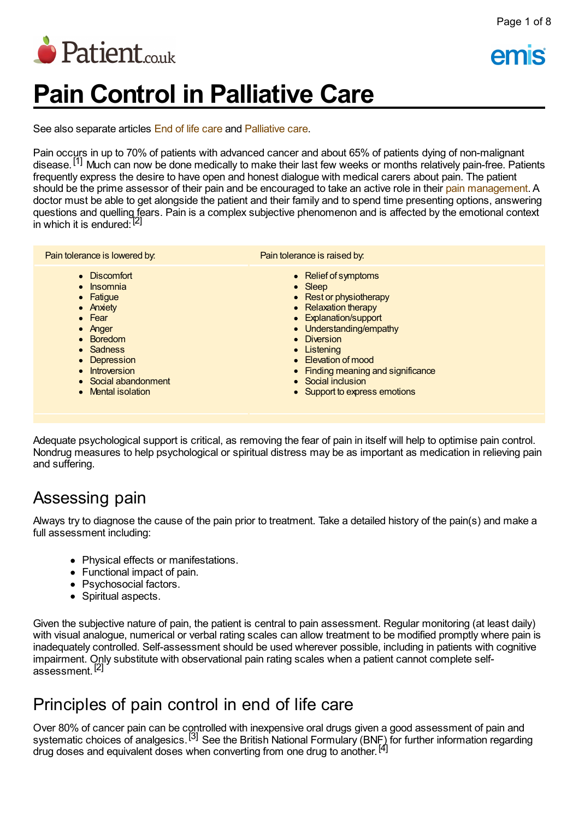

# **Pain Control in Palliative Care**

See also separate articles End of life [care](http://www.patient.co.uk/doctor/end-of-life-care-pro) and [Palliative](http://www.patient.co.uk/doctor/palliative-care) care.

Pain occurs in up to 70% of patients with advanced cancer and about 65% of patients dying of non-malignant disease.<sup>[1]</sup> Much can now be done medically to make their last few weeks or months relatively pain-free. Patients frequently express the desire to have open and honest dialogue with medical carers about pain. The patient should be the prime assessor of their pain and be encouraged to take an active role in their pain [management](http://www.patient.co.uk/search.asp?searchterm=PAIN+MANAGEMENT&collections=PPsearch). A doctor must be able to get alongside the patient and their family and to spend time presenting options, answering questions and quelling fears. Pain is a complex subjective phenomenon and is affected by the emotional context in which it is endured:<sup>[2]</sup>

| Pain tolerance is lowered by. | Pain tolerance is raised by.       |
|-------------------------------|------------------------------------|
| • Discomfort                  | • Relief of symptoms               |
| • Insomnia                    | $\bullet$ Sleep                    |
| • Fatigue                     | • Rest or physiotherapy            |
| • Anxiety                     | • Relaxation therapy               |
| $\bullet$ Fear                | • Explanation/support              |
| $\bullet$ Anger               | • Understanding/empathy            |
| • Boredom                     | • Diversion                        |
| • Sadness                     | • Listening                        |
| • Depression                  | • Elevation of mood                |
| • Introversion                | • Finding meaning and significance |
| • Social abandonment          | • Social inclusion                 |
| • Mental isolation            | • Support to express emotions      |

Adequate psychological support is critical, as removing the fear of pain in itself will help to optimise pain control. Nondrug measures to help psychological or spiritual distress may be as important as medication in relieving pain and suffering.

### Assessing pain

Always try to diagnose the cause of the pain prior to treatment. Take a detailed history of the pain(s) and make a full assessment including:

- Physical effects or manifestations.
- Functional impact of pain.
- Psychosocial factors.
- Spiritual aspects.

Given the subjective nature of pain, the patient is central to pain assessment. Regular monitoring (at least daily) with visual analogue, numerical or verbal rating scales can allow treatment to be modified promptly where pain is inadequately controlled. Self-assessment should be used wherever possible, including in patients with cognitive impairment. Only substitute with observational pain rating scales when a patient cannot complete selfassessment.<sup>[2]</sup>

### Principles of pain control in end of life care

Over 80% of cancer pain can be controlled with inexpensive oral drugs given a good assessment of pain and systematic choices of analgesics.<sup>[3]</sup> See the British National Formulary (BNF) for further information regarding drug doses and equivalent doses when converting from one drug to another.<sup>[4]</sup>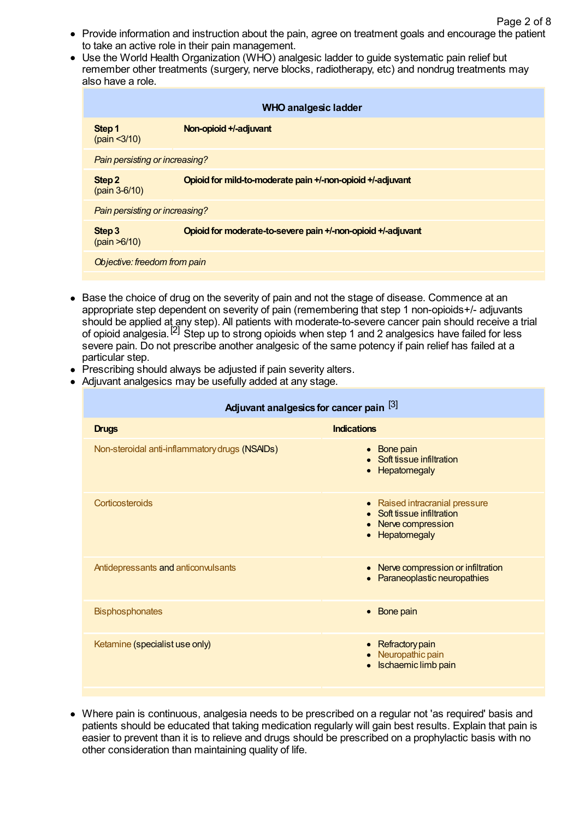- Provide information and instruction about the pain, agree on treatment goals and encourage the patient to take an active role in their pain management.
- Use the World Health Organization (WHO) analgesic ladder to guide systematic pain relief but remember other treatments (surgery, nerve blocks, radiotherapy, etc) and nondrug treatments may also have a role.

| <b>WHO analgesic ladder</b>    |                                                              |  |
|--------------------------------|--------------------------------------------------------------|--|
| Step 1<br>(pain < 3/10)        | Non-opioid +/-adjuvant                                       |  |
| Pain persisting or increasing? |                                                              |  |
| Step 2<br>$(pain 3-6/10)$      | Opioid for mild-to-moderate pain +/-non-opioid +/-adjuvant   |  |
| Pain persisting or increasing? |                                                              |  |
| Step 3<br>(pain > 6/10)        | Opioid for moderate-to-severe pain +/-non-opioid +/-adjuvant |  |
| Objective: freedom from pain   |                                                              |  |

- Base the choice of drug on the severity of pain and not the stage of disease. Commence at an appropriate step dependent on severity of pain (remembering that step 1 non-opioids+/- adjuvants should be applied at any step). All patients with moderate-to-severe cancer pain should receive a trial of opioid analgesia. [2] Step up to strong opioids when step 1 and 2 analgesics have failed for less severe pain. Do not prescribe another analgesic of the same potency if pain relief has failed at a particular step.
- Prescribing should always be adjusted if pain severity alters.
- Adjuvant analgesics may be usefully added at any stage.

| Adjuvant analgesics for cancer pain [3]        |                                                                                                                |  |  |
|------------------------------------------------|----------------------------------------------------------------------------------------------------------------|--|--|
| <b>Drugs</b>                                   | <b>Indications</b>                                                                                             |  |  |
| Non-steroidal anti-inflammatory drugs (NSAIDs) | • Bone pain<br>Soft tissue infiltration<br>Hepatomegaly                                                        |  |  |
| Corticosteroids                                | • Raised intracranial pressure<br>• Soft tissue infiltration<br>Nerve compression<br>Hepatomegaly<br>$\bullet$ |  |  |
| Antidepressants and anticonvulsants            | • Nerve compression or infiltration<br>Paraneoplastic neuropathies                                             |  |  |
| <b>Bisphosphonates</b>                         | • Bone pain                                                                                                    |  |  |
| Ketamine (specialist use only)                 | • Refractory pain<br>Neuropathic pain<br>Ischaemic limb pain                                                   |  |  |

Where pain is continuous, analgesia needs to be prescribed on a regular not 'as required' basis and patients should be educated that taking medication regularly will gain best results. Explain that pain is easier to prevent than it is to relieve and drugs should be prescribed on a prophylactic basis with no other consideration than maintaining quality of life.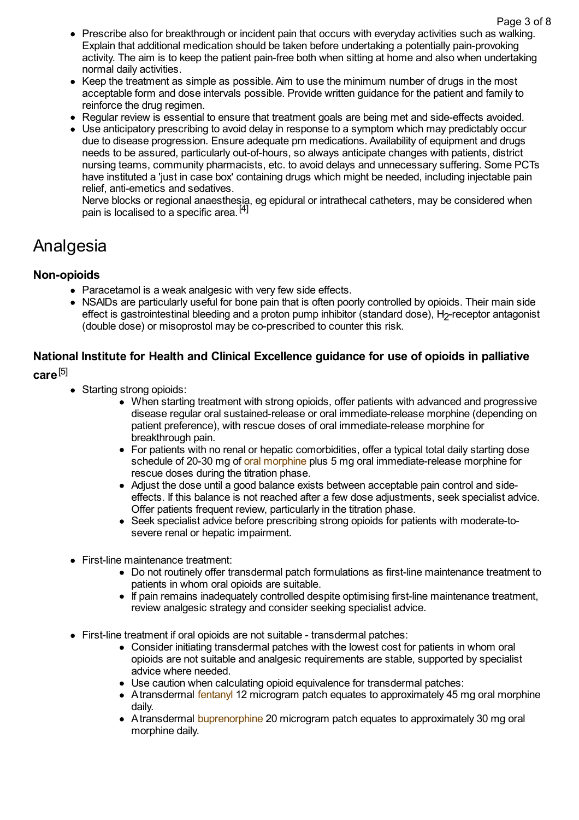- Prescribe also for breakthrough or incident pain that occurs with everyday activities such as walking. Explain that additional medication should be taken before undertaking a potentially pain-provoking activity. The aim is to keep the patient pain-free both when sitting at home and also when undertaking normal daily activities.
- $\bullet$  Keep the treatment as simple as possible. Aim to use the minimum number of drugs in the most acceptable form and dose intervals possible. Provide written guidance for the patient and family to reinforce the drug regimen.
- Regular review is essential to ensure that treatment goals are being met and side-effects avoided.
- Use anticipatory prescribing to avoid delay in response to a symptom which may predictably occur due to disease progression. Ensure adequate prn medications. Availability of equipment and drugs needs to be assured, particularly out-of-hours, so always anticipate changes with patients, district nursing teams, community pharmacists, etc. to avoid delays and unnecessary suffering. Some PCTs have instituted a 'just in case box' containing drugs which might be needed, including injectable pain relief, anti-emetics and sedatives.

Nerve blocks or regional anaesthesia, eg epidural or intrathecal catheters, may be considered when pain is localised to a specific area.<sup>[4]</sup>

### Analgesia

### **Non-opioids**

- Paracetamol is a weak analgesic with very few side effects.
- NSAIDs are particularly useful for bone pain that is often poorly controlled by opioids. Their main side effect is gastrointestinal bleeding and a proton pump inhibitor (standard dose), H<sub>2</sub>-receptor antagonist (double dose) or misoprostol may be co-prescribed to counter this risk.

### **National Institute for Health and Clinical Excellence guidance for use of opioids in palliative care** [5]

- Starting strong opioids:
	- When starting treatment with strong opioids, offer patients with advanced and progressive disease regular oral sustained-release or oral immediate-release morphine (depending on patient preference), with rescue doses of oral immediate-release morphine for breakthrough pain.
	- For patients with no renal or hepatic comorbidities, offer a typical total daily starting dose schedule of 20-30 mg of oral [morphine](http://www.patient.co.uk/search.asp?searchterm=ORAL+FORM+MORPHINE&collections=PPsearch) plus 5 mg oral immediate-release morphine for rescue doses during the titration phase.
	- Adjust the dose until a good balance exists between acceptable pain control and sideeffects. If this balance is not reached after a few dose adjustments, seek specialist advice. Offer patients frequent review, particularly in the titration phase.
	- Seek specialist advice before prescribing strong opioids for patients with moderate-tosevere renal or hepatic impairment.
- First-line maintenance treatment:
	- Do not routinely offer transdermal patch formulations as first-line maintenance treatment to patients in whom oral opioids are suitable.
	- If pain remains inadequately controlled despite optimising first-line maintenance treatment, review analgesic strategy and consider seeking specialist advice.
- First-line treatment if oral opioids are not suitable transdermal patches:
	- Consider initiating transdermal patches with the lowest cost for patients in whom oral opioids are not suitable and analgesic requirements are stable, supported by specialist advice where needed.
	- Use caution when calculating opioid equivalence for transdermal patches:
	- Atransdermal [fentanyl](http://www.patient.co.uk/search.asp?searchterm=FENTANYL&collections=PPsearch) 12 microgram patch equates to approximately 45 mg oral morphine daily.
	- Atransdermal [buprenorphine](http://www.patient.co.uk/search.asp?searchterm=BUPRENORPHINE&collections=PPsearch) 20 microgram patch equates to approximately 30 mg oral morphine daily.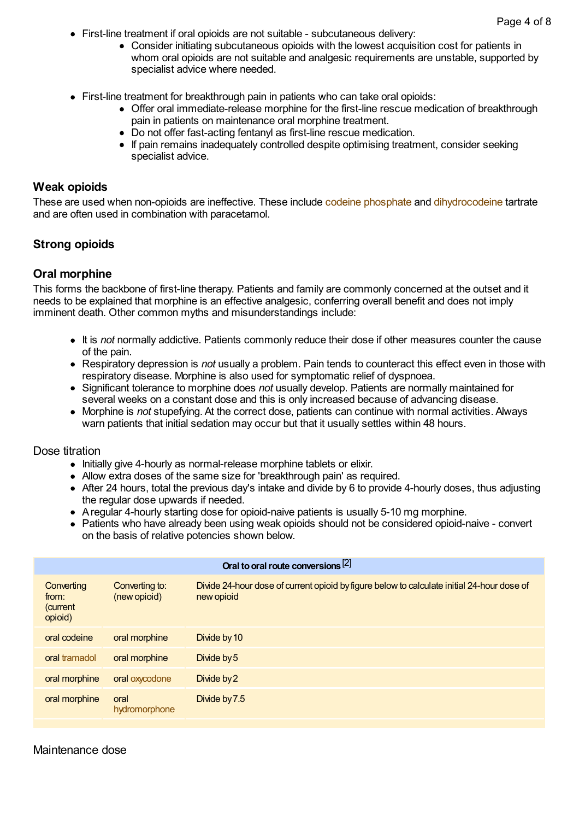- First-line treatment if oral opioids are not suitable subcutaneous delivery:
	- Consider initiating subcutaneous opioids with the lowest acquisition cost for patients in whom oral opioids are not suitable and analgesic requirements are unstable, supported by specialist advice where needed.
- First-line treatment for breakthrough pain in patients who can take oral opioids:
	- Offer oral immediate-release morphine for the first-line rescue medication of breakthrough pain in patients on maintenance oral morphine treatment.
	- Do not offer fast-acting fentanyl as first-line rescue medication.
	- If pain remains inadequately controlled despite optimising treatment, consider seeking specialist advice.

#### **Weak opioids**

These are used when non-opioids are ineffective. These include codeine [phosphate](http://www.patient.co.uk/search.asp?searchterm=CODEINE+PHOSPHATE+PRODUCT&collections=PPsearch) and [dihydrocodeine](http://www.patient.co.uk/search.asp?searchterm=DIHYDROCODEINE&collections=PPsearch) tartrate and are often used in combination with paracetamol.

#### **Strong opioids**

#### **Oral morphine**

This forms the backbone of first-line therapy. Patients and family are commonly concerned at the outset and it needs to be explained that morphine is an effective analgesic, conferring overall benefit and does not imply imminent death. Other common myths and misunderstandings include:

- It is *not* normally addictive. Patients commonly reduce their dose if other measures counter the cause of the pain.
- Respiratory depression is *not* usually a problem. Pain tends to counteract this effect even in those with respiratory disease. Morphine is also used for symptomatic relief of dyspnoea.
- Significant tolerance to morphine does *not* usually develop. Patients are normally maintained for several weeks on a constant dose and this is only increased because of advancing disease.
- Morphine is *not* stupefying. At the correct dose, patients can continue with normal activities. Always warn patients that initial sedation may occur but that it usually settles within 48 hours.

#### Dose titration

- Initially give 4-hourly as normal-release morphine tablets or elixir.
- Allow extra doses of the same size for 'breakthrough pain' as required.
- After 24 hours, total the previous day's intake and divide by 6 to provide 4-hourly doses, thus adjusting the regular dose upwards if needed.
- Aregular 4-hourly starting dose for opioid-naive patients is usually 5-10 mg morphine.
- Patients who have already been using weak opioids should not be considered opioid-naive convert on the basis of relative potencies shown below.

| Oral to oral route conversions [2]         |                                |                                                                                                          |  |
|--------------------------------------------|--------------------------------|----------------------------------------------------------------------------------------------------------|--|
| Converting<br>from:<br>(current<br>opioid) | Converting to:<br>(new opioid) | Divide 24-hour dose of current opioid by figure below to calculate initial 24-hour dose of<br>new opioid |  |
| oral codeine                               | oral morphine                  | Divide by 10                                                                                             |  |
| oral tramadol                              | oral morphine                  | Divide by 5                                                                                              |  |
| oral morphine                              | oral oxycodone                 | Divide by 2                                                                                              |  |
| oral morphine                              | oral<br>hydromorphone          | Divide by 7.5                                                                                            |  |

### Maintenance dose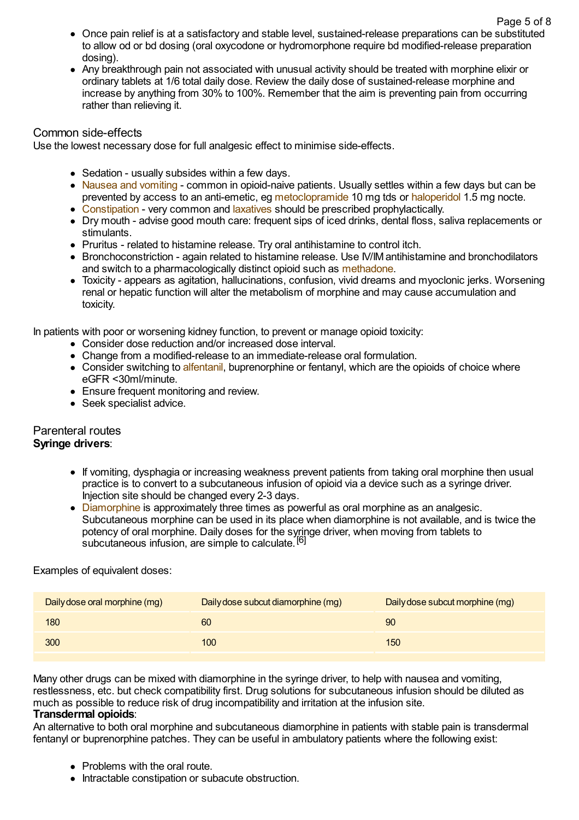- Once pain relief is at a satisfactory and stable level, sustained-release preparations can be substituted to allow od or bd dosing (oral oxycodone or hydromorphone require bd modified-release preparation dosing).
- Any breakthrough pain not associated with unusual activity should be treated with morphine elixir or ordinary tablets at 1/6 total daily dose. Review the daily dose of sustained-release morphine and increase by anything from 30% to 100%. Remember that the aim is preventing pain from occurring rather than relieving it.

### Common side-effects

Use the lowest necessary dose for full analgesic effect to minimise side-effects.

- Sedation usually subsides within a few days.
- Nausea and [vomiting](http://www.patient.co.uk/search.asp?searchterm=NAUSEA+AND+VOMITING&collections=PPsearch) common in opioid-naive patients. Usually settles within a few days but can be prevented by access to an anti-emetic, eg [metoclopramide](http://www.patient.co.uk/search.asp?searchterm=METOCLOPRAMIDE&collections=PPsearch) 10 mg tds or [haloperidol](http://www.patient.co.uk/search.asp?searchterm=HALOPERIDOL&collections=PPsearch) 1.5 mg nocte.
- [Constipation](http://www.patient.co.uk/search.asp?searchterm=CONSTIPATION&collections=PPsearch) very common and [laxatives](http://www.patient.co.uk/search.asp?searchterm=LAXATIVES&collections=PPsearch) should be prescribed prophylactically.
- Dry mouth advise good mouth care: frequent sips of iced drinks, dental floss, saliva replacements or stimulants.
- Pruritus related to histamine release. Try oral antihistamine to control itch.
- Bronchoconstriction again related to histamine release. Use IV/IM antihistamine and bronchodilators and switch to a pharmacologically distinct opioid such as [methadone](http://www.patient.co.uk/search.asp?searchterm=METHADONE&collections=PPsearch).
- Toxicity appears as agitation, hallucinations, confusion, vivid dreams and myoclonic jerks. Worsening renal or hepatic function will alter the metabolism of morphine and may cause accumulation and toxicity.

In patients with poor or worsening kidney function, to prevent or manage opioid toxicity:

- Consider dose reduction and/or increased dose interval.
- Change from a modified-release to an immediate-release oral formulation.
- Consider switching to [alfentanil](http://www.patient.co.uk/search.asp?searchterm=ALFENTANIL&collections=PPsearch), buprenorphine or fentanyl, which are the opioids of choice where eGFR <30ml/minute.
- Ensure frequent monitoring and review.
- Seek specialist advice.

### Parenteral routes

### **Syringe drivers**:

- If vomiting, dysphagia or increasing weakness prevent patients from taking oral morphine then usual practice is to convert to a subcutaneous infusion of opioid via a device such as a syringe driver. Injection site should be changed every 2-3 days.
- [Diamorphine](http://www.patient.co.uk/search.asp?searchterm=DIAMORPHINE&collections=PPsearch) is approximately three times as powerful as oral morphine as an analgesic. Subcutaneous morphine can be used in its place when diamorphine is not available, and is twice the potency of oral morphine. Daily doses for the syringe driver, when moving from tablets to subcutaneous infusion, are simple to calculate.<sup>[6]</sup>

Examples of equivalent doses:

| Daily dose oral morphine (mg) | Daily dose subcut diamorphine (mg) | Daily dose subcut morphine (mg) |
|-------------------------------|------------------------------------|---------------------------------|
| 180                           | 60                                 | 90                              |
| 300                           | 100                                | 150                             |

Many other drugs can be mixed with diamorphine in the syringe driver, to help with nausea and vomiting, restlessness, etc. but check compatibility first. Drug solutions for subcutaneous infusion should be diluted as

#### much as possible to reduce risk of drug incompatibility and irritation at the infusion site.

#### **Transdermal opioids**:

An alternative to both oral morphine and subcutaneous diamorphine in patients with stable pain is transdermal fentanyl or buprenorphine patches. They can be useful in ambulatory patients where the following exist:

- Problems with the oral route.
- Intractable constipation or subacute obstruction.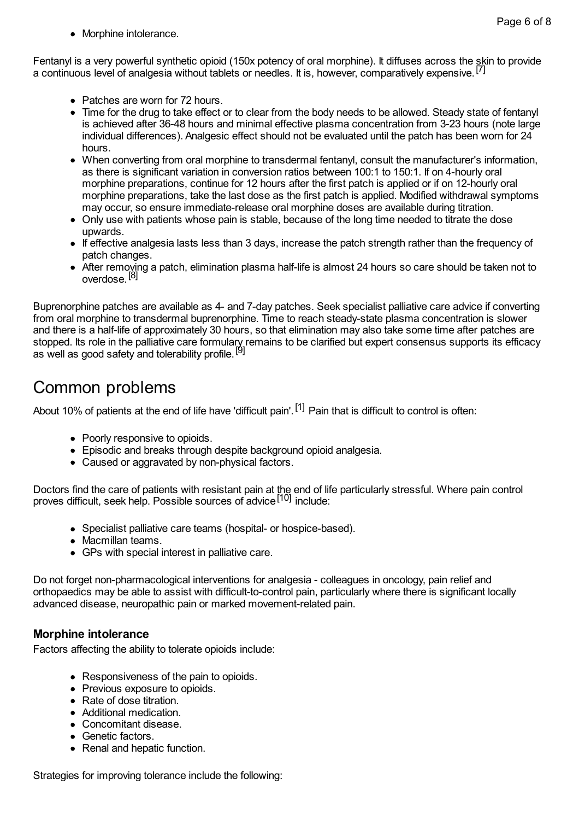• Morphine intolerance.

Fentanyl is a very powerful synthetic opioid (150x potency of oral morphine). It diffuses across the skin to provide a continuous level of analgesia without tablets or needles. It is, however, comparatively expensive.<sup>[7]</sup>

- Patches are worn for 72 hours.
- Time for the drug to take effect or to clear from the body needs to be allowed. Steady state of fentanyl is achieved after 36-48 hours and minimal effective plasma concentration from 3-23 hours (note large individual differences). Analgesic effect should not be evaluated until the patch has been worn for 24 hours.
- When converting from oral morphine to transdermal fentanyl, consult the manufacturer's information, as there is significant variation in conversion ratios between 100:1 to 150:1. If on 4-hourly oral morphine preparations, continue for 12 hours after the first patch is applied or if on 12-hourly oral morphine preparations, take the last dose as the first patch is applied. Modified withdrawal symptoms may occur, so ensure immediate-release oral morphine doses are available during titration.
- Only use with patients whose pain is stable, because of the long time needed to titrate the dose upwards.
- If effective analgesia lasts less than 3 days, increase the patch strength rather than the frequency of patch changes.
- After removing a patch, elimination plasma half-life is almost 24 hours so care should be taken not to overdose.<sup>[8]</sup>

Buprenorphine patches are available as 4- and 7-day patches. Seek specialist palliative care advice if converting from oral morphine to transdermal buprenorphine. Time to reach steady-state plasma concentration is slower and there is a half-life of approximately 30 hours, so that elimination may also take some time after patches are stopped. Its role in the palliative care formulary remains to be clarified but expert consensus supports its efficacy as well as good safety and tolerability profile.<sup>[9]</sup>

## Common problems

About 10% of patients at the end of life have 'difficult pain'. <sup>[1]</sup> Pain that is difficult to control is often:

- Poorly responsive to opioids.
- Episodic and breaks through despite background opioid analgesia.
- Caused or aggravated by non-physical factors.

Doctors find the care of patients with resistant pain at the end of life particularly stressful. Where pain control proves difficult, seek help. Possible sources of advice <sup>[10]</sup> include:

- Specialist palliative care teams (hospital- or hospice-based).
- Macmillan teams.
- GPs with special interest in palliative care.

Do not forget non-pharmacological interventions for analgesia - colleagues in oncology, pain relief and orthopaedics may be able to assist with difficult-to-control pain, particularly where there is significant locally advanced disease, neuropathic pain or marked movement-related pain.

### **Morphine intolerance**

Factors affecting the ability to tolerate opioids include:

- Responsiveness of the pain to opioids.
- Previous exposure to opioids.
- Rate of dose titration
- Additional medication.
- Concomitant disease.
- Genetic factors.
- Renal and hepatic function.

Strategies for improving tolerance include the following: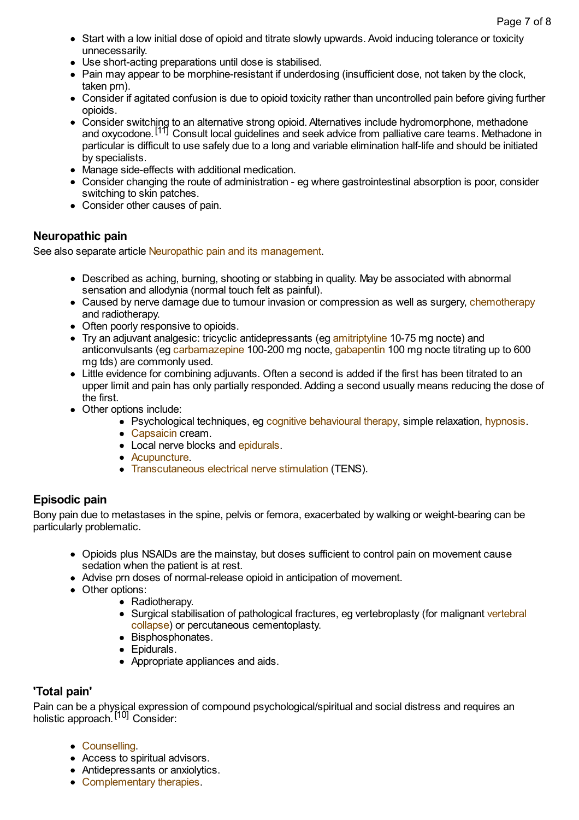- Start with a low initial dose of opioid and titrate slowly upwards. Avoid inducing tolerance or toxicity unnecessarily.
- Use short-acting preparations until dose is stabilised.
- Pain may appear to be morphine-resistant if underdosing (insufficient dose, not taken by the clock, taken prn).
- Consider if agitated confusion is due to opioid toxicity rather than uncontrolled pain before giving further opioids.
- Consider switching to an alternative strong opioid. Alternatives include hydromorphone, methadone and oxycodone. [11] Consult local guidelines and seek advice from palliative care teams. Methadone in particular is difficult to use safely due to a long and variable elimination half-life and should be initiated by specialists.
- Manage side-effects with additional medication.
- Consider changing the route of administration eg where gastrointestinal absorption is poor, consider switching to skin patches.
- Consider other causes of pain.

### **Neuropathic pain**

See also separate article Neuropathic pain and its [management.](http://www.patient.co.uk/doctor/neuropathic-pain-and-its-management)

- Described as aching, burning, shooting or stabbing in quality. May be associated with abnormal sensation and allodynia (normal touch felt as painful).
- Caused by nerve damage due to tumour invasion or compression as well as surgery, [chemotherapy](http://www.patient.co.uk/search.asp?searchterm=CHEMOTHERAPY+FOR+CANCER&collections=PPsearch) and radiotherapy.
- Often poorly responsive to opioids.
- Try an adjuvant analgesic: tricyclic antidepressants (eg [amitriptyline](http://www.patient.co.uk/search.asp?searchterm=AMITRIPTYLINE&collections=PPsearch) 10-75 mg nocte) and anticonvulsants (eg [carbamazepine](http://www.patient.co.uk/search.asp?searchterm=CARBAMAZEPINE&collections=PPsearch) 100-200 mg nocte, [gabapentin](http://www.patient.co.uk/search.asp?searchterm=GABAPENTIN&collections=PPsearch) 100 mg nocte titrating up to 600 mg tds) are commonly used.
- Little evidence for combining adjuvants. Often a second is added if the first has been titrated to an upper limit and pain has only partially responded. Adding a second usually means reducing the dose of the first.
- Other options include:
	- Psychological techniques, eg cognitive [behavioural](http://www.patient.co.uk/search.asp?searchterm=BEHAVIOURAL+AND+COGNITIVE+THERAPIES&collections=PPsearch) therapy, simple relaxation, [hypnosis](http://www.patient.co.uk/search.asp?searchterm=HYPNOSIS&collections=PPsearch).
	- [Capsaicin](http://www.patient.co.uk/search.asp?searchterm=CAPSAICIN&collections=PPsearch) cream.
	- Local nerve blocks and [epidurals.](http://www.patient.co.uk/search.asp?searchterm=EPIDURAL+ANAESTHESIA&collections=PPsearch)
	- [Acupuncture.](http://www.patient.co.uk/search.asp?searchterm=ACUPUNCTURE&collections=PPsearch)
	- [Transcutaneous](http://www.patient.co.uk/search.asp?searchterm=TRANS+ELECTRICAL+NERVE+STIMULATION&collections=PPsearch) electrical nerve stimulation (TENS).

### **Episodic pain**

Bony pain due to metastases in the spine, pelvis or femora, exacerbated by walking or weight-bearing can be particularly problematic.

- Opioids plus NSAIDs are the mainstay, but doses sufficient to control pain on movement cause sedation when the patient is at rest.
- Advise prn doses of normal-release opioid in anticipation of movement.
- Other options:
	- Radiotherapy.
	- Surgical stabilisation of pathological fractures, eg vertebroplasty (for malignant vertebral collapse) or percutaneous [cementoplasty.](http://www.patient.co.uk/search.asp?searchterm=VERTEBRAL+COLLAPSE&collections=PPsearch)
	- Bisphosphonates.
	- Epidurals.
	- Appropriate appliances and aids.

### **'Total pain'**

Pain can be a physical expression of compound psychological/spiritual and social distress and requires an holistic approach.<sup>[10]</sup> Consider:

- [Counselling](http://www.patient.co.uk/search.asp?searchterm=COUNSELLING&collections=PPsearch).
- Access to spiritual advisors.
- Antidepressants or anxiolytics.
- [Complementary](http://www.patient.co.uk/search.asp?searchterm=COMPLEMENTARY+THERAPIES&collections=PPsearch) therapies.